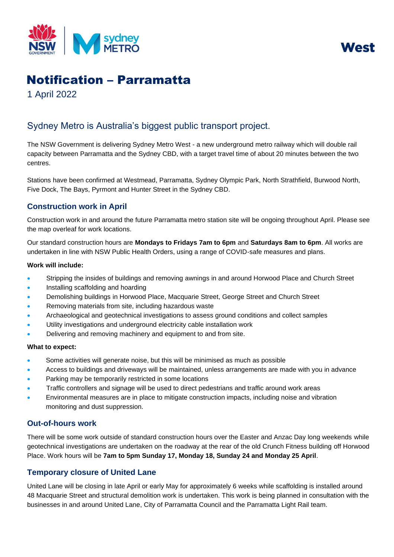



# Notification – Parramatta

1 April 2022

## Sydney Metro is Australia's biggest public transport project.

The NSW Government is delivering Sydney Metro West - a new underground metro railway which will double rail capacity between Parramatta and the Sydney CBD, with a target travel time of about 20 minutes between the two centres.

Stations have been confirmed at Westmead, Parramatta, Sydney Olympic Park, North Strathfield, Burwood North, Five Dock, The Bays, Pyrmont and Hunter Street in the Sydney CBD.

## **Construction work in April**

Construction work in and around the future Parramatta metro station site will be ongoing throughout April. Please see the map overleaf for work locations.

Our standard construction hours are **Mondays to Fridays 7am to 6pm** and **Saturdays 8am to 6pm**. All works are undertaken in line with NSW Public Health Orders, using a range of COVID-safe measures and plans.

#### **Work will include:**

- Stripping the insides of buildings and removing awnings in and around Horwood Place and Church Street
- Installing scaffolding and hoarding
- Demolishing buildings in Horwood Place, Macquarie Street, George Street and Church Street
- Removing materials from site, including hazardous waste
- Archaeological and geotechnical investigations to assess ground conditions and collect samples
- Utility investigations and underground electricity cable installation work
- Delivering and removing machinery and equipment to and from site.

#### **What to expect:**

- Some activities will generate noise, but this will be minimised as much as possible
- Access to buildings and driveways will be maintained, unless arrangements are made with you in advance
- Parking may be temporarily restricted in some locations
- Traffic controllers and signage will be used to direct pedestrians and traffic around work areas
- Environmental measures are in place to mitigate construction impacts, including noise and vibration monitoring and dust suppression.

## **Out-of-hours work**

There will be some work outside of standard construction hours over the Easter and Anzac Day long weekends while geotechnical investigations are undertaken on the roadway at the rear of the old Crunch Fitness building off Horwood Place. Work hours will be **7am to 5pm Sunday 17, Monday 18, Sunday 24 and Monday 25 April**.

## **Temporary closure of United Lane**

United Lane will be closing in late April or early May for approximately 6 weeks while scaffolding is installed around 48 Macquarie Street and structural demolition work is undertaken. This work is being planned in consultation with the businesses in and around United Lane, City of Parramatta Council and the Parramatta Light Rail team.